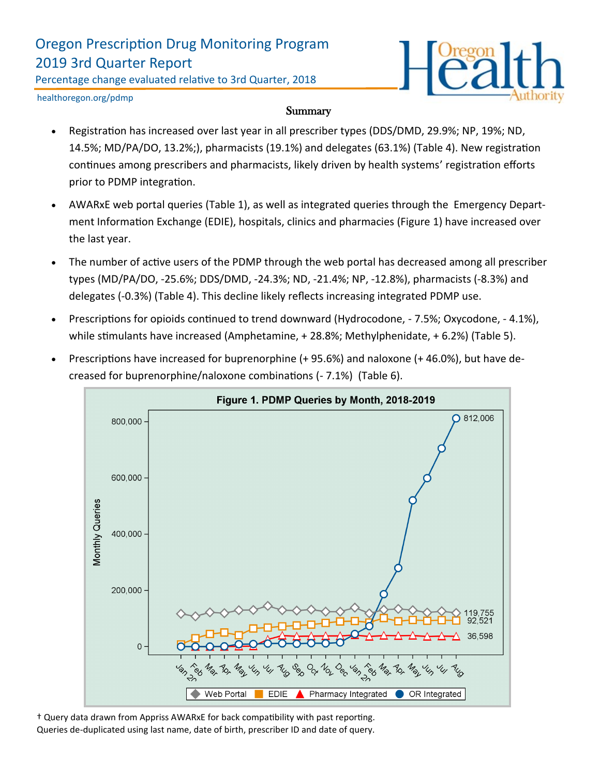# Oregon Prescription Drug Monitoring Program 2019 3rd Quarter Report

Percentage change evaluated relative to 3rd Quarter, 2018



healthoregon.org/pdmp

#### **Summary**

- Registration has increased over last year in all prescriber types (DDS/DMD, 29.9%; NP, 19%; ND, 14.5%; MD/PA/DO, 13.2%;), pharmacists (19.1%) and delegates (63.1%) (Table 4). New registration continues among prescribers and pharmacists, likely driven by health systems' registration efforts prior to PDMP integration.
- AWARxE web portal queries (Table 1), as well as integrated queries through the Emergency Department Information Exchange (EDIE), hospitals, clinics and pharmacies (Figure 1) have increased over the last year.
- The number of active users of the PDMP through the web portal has decreased among all prescriber types (MD/PA/DO, -25.6%; DDS/DMD, -24.3%; ND, -21.4%; NP, -12.8%), pharmacists (-8.3%) and delegates (-0.3%) (Table 4). This decline likely reflects increasing integrated PDMP use.
- Prescriptions for opioids continued to trend downward (Hydrocodone, 7.5%; Oxycodone, 4.1%), while stimulants have increased (Amphetamine, + 28.8%; Methylphenidate, + 6.2%) (Table 5).
- Prescriptions have increased for buprenorphine (+ 95.6%) and naloxone (+ 46.0%), but have decreased for buprenorphine/naloxone combinations (- 7.1%) (Table 6).



† Query data drawn from Appriss AWARxE for back compatibility with past reporting. Queries de-duplicated using last name, date of birth, prescriber ID and date of query.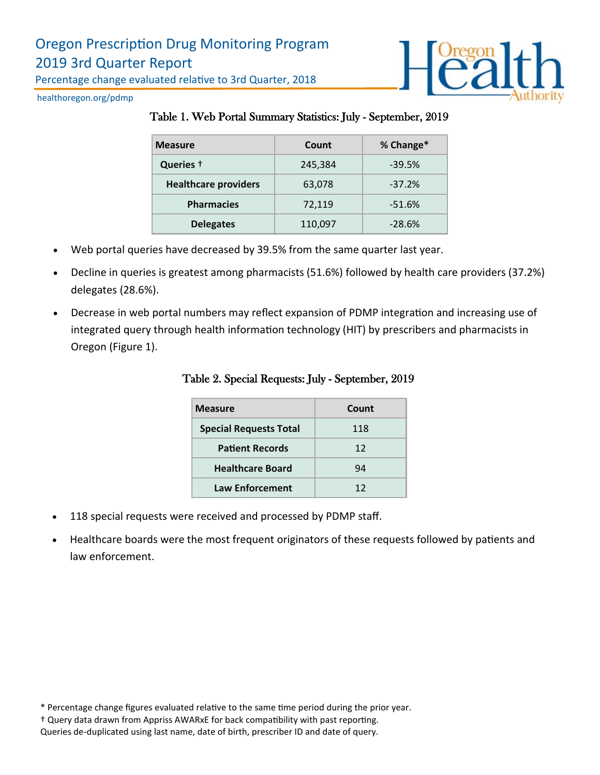

healthoregon.org/pdmp

#### Table 1. Web Portal Summary Statistics: July - September, 2019

| <b>Measure</b>              | Count   | % Change* |
|-----------------------------|---------|-----------|
| Queries +                   | 245,384 | $-39.5%$  |
| <b>Healthcare providers</b> | 63,078  | $-37.2%$  |
| <b>Pharmacies</b>           | 72,119  | $-51.6%$  |
| <b>Delegates</b>            | 110,097 | $-28.6%$  |

- Web portal queries have decreased by 39.5% from the same quarter last year.
- Decline in queries is greatest among pharmacists (51.6%) followed by health care providers (37.2%) delegates (28.6%).
- Decrease in web portal numbers may reflect expansion of PDMP integration and increasing use of integrated query through health information technology (HIT) by prescribers and pharmacists in Oregon (Figure 1).

| <b>Measure</b>                | Count |  |
|-------------------------------|-------|--|
| <b>Special Requests Total</b> | 118   |  |
| <b>Patient Records</b>        | 12    |  |
| <b>Healthcare Board</b>       | 94    |  |
| <b>Law Enforcement</b>        | 12    |  |

Table 2. Special Requests: July - September, 2019

- 118 special requests were received and processed by PDMP staff.
- Healthcare boards were the most frequent originators of these requests followed by patients and law enforcement.

<sup>\*</sup> Percentage change figures evaluated relative to the same time period during the prior year.

<sup>†</sup> Query data drawn from Appriss AWARxE for back compatibility with past reporting.

Queries de-duplicated using last name, date of birth, prescriber ID and date of query.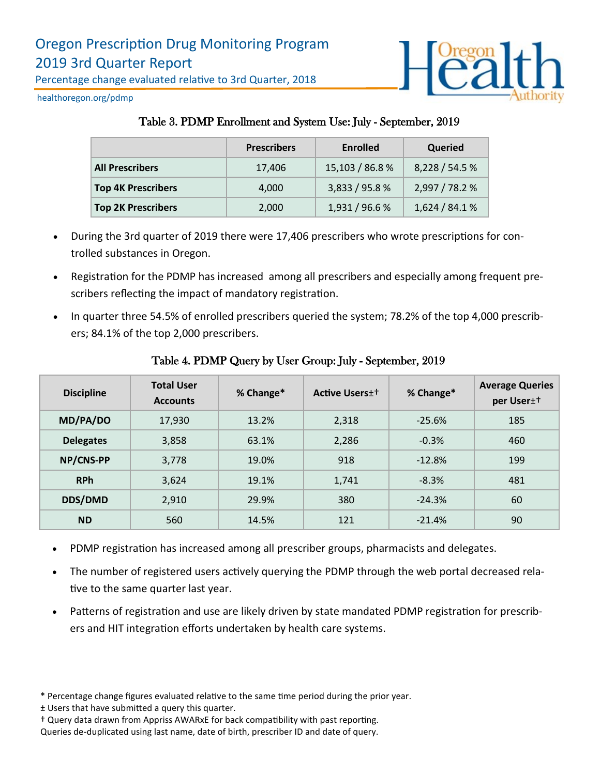

healthoregon.org/pdmp

# Table 3. PDMP Enrollment and System Use: July - September, 2019

|                           | <b>Prescribers</b> | Enrolled        | Queried        |
|---------------------------|--------------------|-----------------|----------------|
| <b>All Prescribers</b>    | 17,406             | 15,103 / 86.8 % | 8,228 / 54.5 % |
| <b>Top 4K Prescribers</b> | 4,000              | 3,833 / 95.8 %  | 2,997 / 78.2 % |
| <b>Top 2K Prescribers</b> | 2,000              | 1,931 / 96.6 %  | 1,624/84.1%    |

- During the 3rd quarter of 2019 there were 17,406 prescribers who wrote prescriptions for controlled substances in Oregon.
- Registration for the PDMP has increased among all prescribers and especially among frequent prescribers reflecting the impact of mandatory registration.
- In quarter three 54.5% of enrolled prescribers queried the system; 78.2% of the top 4,000 prescribers; 84.1% of the top 2,000 prescribers.

| <b>Discipline</b> | <b>Total User</b><br><b>Accounts</b> | % Change* | <b>Active Users</b> + | % Change* | <b>Average Queries</b><br>per User <sup>++</sup> |
|-------------------|--------------------------------------|-----------|-----------------------|-----------|--------------------------------------------------|
| MD/PA/DO          | 17,930                               | 13.2%     | 2,318                 | $-25.6%$  | 185                                              |
| <b>Delegates</b>  | 3,858                                | 63.1%     | 2,286                 | $-0.3%$   | 460                                              |
| NP/CNS-PP         | 3,778                                | 19.0%     | 918                   | $-12.8%$  | 199                                              |
| <b>RPh</b>        | 3,624                                | 19.1%     | 1,741                 | $-8.3%$   | 481                                              |
| <b>DDS/DMD</b>    | 2,910                                | 29.9%     | 380                   | $-24.3%$  | 60                                               |
| <b>ND</b>         | 560                                  | 14.5%     | 121                   | $-21.4%$  | 90                                               |

### Table 4. PDMP Query by User Group: July - September, 2019

- PDMP registration has increased among all prescriber groups, pharmacists and delegates.
- The number of registered users actively querying the PDMP through the web portal decreased relative to the same quarter last year.
- Patterns of registration and use are likely driven by state mandated PDMP registration for prescribers and HIT integration efforts undertaken by health care systems.

<sup>\*</sup> Percentage change figures evaluated relative to the same time period during the prior year.

<sup>±</sup> Users that have submitted a query this quarter.

<sup>†</sup> Query data drawn from Appriss AWARxE for back compatibility with past reporting.

Queries de-duplicated using last name, date of birth, prescriber ID and date of query.